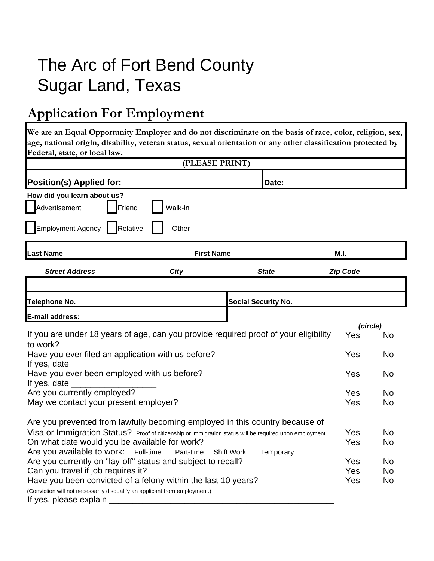# The Arc of Fort Bend County Sugar Land, Texas

### **Application For Employment**

**We are an Equal Opportunity Employer and do not discriminate on the basis of race, color, religion, sex, age, national origin, disability, veteran status, sexual orientation or any other classification protected by Federal, state, or local law.**

|                                                                                                          |                   | (PLEASE PRINT)    |                            |                 |           |
|----------------------------------------------------------------------------------------------------------|-------------------|-------------------|----------------------------|-----------------|-----------|
| <b>Position(s) Applied for:</b>                                                                          |                   |                   | Date:                      |                 |           |
| How did you learn about us?                                                                              |                   |                   |                            |                 |           |
| dvertisement<br>Friend                                                                                   | Walk-in           |                   |                            |                 |           |
| <b>Employment Agency</b><br>Relative                                                                     | Other             |                   |                            |                 |           |
| <b>Last Name</b>                                                                                         | <b>First Name</b> |                   |                            | M.I.            |           |
| <b>Street Address</b>                                                                                    | <b>City</b>       |                   | <b>State</b>               | <b>Zip Code</b> |           |
|                                                                                                          |                   |                   |                            |                 |           |
| <b>Telephone No.</b>                                                                                     |                   |                   | <b>Social Security No.</b> |                 |           |
| E-mail address:                                                                                          |                   |                   |                            |                 |           |
| If you are under 18 years of age, can you provide required proof of your eligibility                     | (circle)<br>Yes   | No                |                            |                 |           |
| to work?                                                                                                 |                   |                   |                            |                 |           |
| Have you ever filed an application with us before?                                                       |                   |                   |                            | Yes             | No        |
| If yes, date _<br>Have you ever been employed with us before?                                            | Yes               | No                |                            |                 |           |
| If yes, date _                                                                                           |                   |                   |                            |                 |           |
| Are you currently employed?                                                                              |                   |                   |                            | Yes             | <b>No</b> |
| May we contact your present employer?                                                                    |                   |                   |                            |                 | No.       |
| Are you prevented from lawfully becoming employed in this country because of                             |                   |                   |                            |                 |           |
| Visa or Immigration Status? Proof of citizenship or immigration status will be required upon employment. |                   |                   |                            | Yes             | <b>No</b> |
| On what date would you be available for work?                                                            |                   |                   |                            | Yes             | No.       |
| Are you available to work: Full-time                                                                     | Part-time         | <b>Shift Work</b> | Temporary                  |                 |           |
| Are you currently on "lay-off" status and subject to recall?                                             | Yes               | <b>No</b>         |                            |                 |           |
| Can you travel if job requires it?                                                                       | Yes               | <b>No</b>         |                            |                 |           |
| Have you been convicted of a felony within the last 10 years?                                            | Yes               | No                |                            |                 |           |
| (Conviction will not necessarily disqualify an applicant from employment.)<br>If yes, please explain     |                   |                   |                            |                 |           |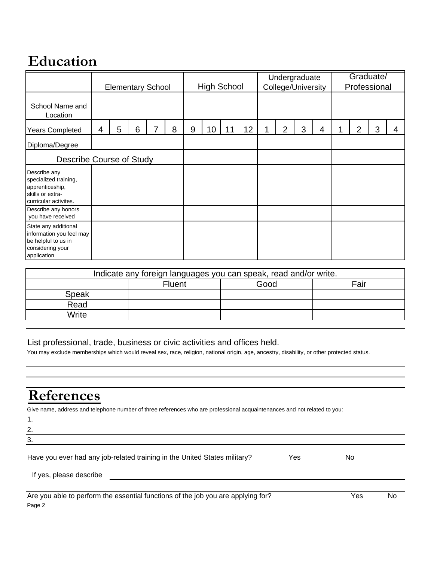#### **Education**

|                                                                                                            | <b>Elementary School</b> |   |   | <b>High School</b> |   |    | Undergraduate<br>College/University |    |   | Graduate/<br>Professional |   |   |   |   |   |   |
|------------------------------------------------------------------------------------------------------------|--------------------------|---|---|--------------------|---|----|-------------------------------------|----|---|---------------------------|---|---|---|---|---|---|
| School Name and<br>Location                                                                                |                          |   |   |                    |   |    |                                     |    |   |                           |   |   |   |   |   |   |
| <b>Years Completed</b>                                                                                     | 4                        | 5 | 6 | 8                  | 9 | 10 | 11                                  | 12 | 1 | 2                         | 3 | 4 | 4 | 2 | 3 | 4 |
| Diploma/Degree                                                                                             |                          |   |   |                    |   |    |                                     |    |   |                           |   |   |   |   |   |   |
| <b>Describe Course of Study</b>                                                                            |                          |   |   |                    |   |    |                                     |    |   |                           |   |   |   |   |   |   |
| Describe any<br>specialized training,<br>apprenticeship,<br>skills or extra-<br>curricular activites.      |                          |   |   |                    |   |    |                                     |    |   |                           |   |   |   |   |   |   |
| Describe any honors<br>you have received                                                                   |                          |   |   |                    |   |    |                                     |    |   |                           |   |   |   |   |   |   |
| State any additional<br>information you feel may<br>be helpful to us in<br>considering your<br>application |                          |   |   |                    |   |    |                                     |    |   |                           |   |   |   |   |   |   |

| Indicate any foreign languages you can speak, read and/or write. |                               |  |  |  |  |  |  |  |  |  |
|------------------------------------------------------------------|-------------------------------|--|--|--|--|--|--|--|--|--|
|                                                                  | Fair<br>Good<br><b>Fluent</b> |  |  |  |  |  |  |  |  |  |
| Speak                                                            |                               |  |  |  |  |  |  |  |  |  |
| Read                                                             |                               |  |  |  |  |  |  |  |  |  |
| Write                                                            |                               |  |  |  |  |  |  |  |  |  |

#### List professional, trade, business or civic activities and offices held.

You may exclude memberships which would reveal sex, race, religion, national origin, age, ancestry, disability, or other protected status.

### **References**

Give name, address and telephone number of three references who are professional acquaintenances and not related to you:

2. 3.

1.

|  | Have you ever had any job-related training in the United States military? | Yes | No |
|--|---------------------------------------------------------------------------|-----|----|
|  |                                                                           |     |    |

If yes, please describe

| Are you able to perform the essential functions of the job you are applying for? | Yes | No |
|----------------------------------------------------------------------------------|-----|----|
| Page 2                                                                           |     |    |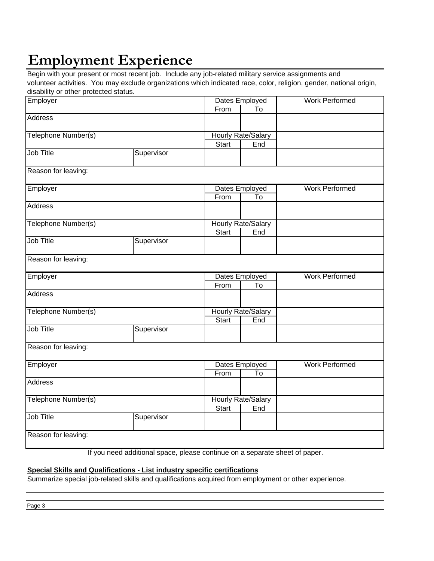# **Employment Experience**

Begin with your present or most recent job. Include any job-related military service assignments and volunteer activities. You may exclude organizations which indicated race, color, religion, gender, national origin, disability or other protected status.

| aloability of other protoctoa otatao.<br>Employer |            | Dates Employed     | <b>Work Performed</b>     |                       |
|---------------------------------------------------|------------|--------------------|---------------------------|-----------------------|
|                                                   |            | From               | To                        |                       |
| <b>Address</b>                                    |            |                    |                           |                       |
| Telephone Number(s)                               |            | Hourly Rate/Salary |                           |                       |
|                                                   |            | <b>Start</b>       | End                       |                       |
| Job Title                                         | Supervisor |                    |                           |                       |
| Reason for leaving:                               |            |                    |                           |                       |
| Employer                                          |            |                    | Dates Employed            | <b>Work Performed</b> |
|                                                   |            | From               | $\overline{10}$           |                       |
| <b>Address</b>                                    |            |                    |                           |                       |
| Telephone Number(s)                               |            |                    | <b>Hourly Rate/Salary</b> |                       |
|                                                   |            | <b>Start</b>       | End                       |                       |
| Job Title                                         | Supervisor |                    |                           |                       |
| Reason for leaving:                               |            |                    |                           |                       |
| Employer                                          |            |                    | Dates Employed            | <b>Work Performed</b> |
|                                                   |            | From               | $\overline{\mathsf{T}}$ o |                       |
| <b>Address</b>                                    |            |                    |                           |                       |
| Telephone Number(s)                               |            |                    | <b>Hourly Rate/Salary</b> |                       |
|                                                   |            | <b>Start</b>       | End                       |                       |
| Job Title                                         | Supervisor |                    |                           |                       |
| Reason for leaving:                               |            |                    |                           |                       |
| Employer                                          |            |                    | Dates Employed            | <b>Work Performed</b> |
|                                                   |            | From               | To                        |                       |
| <b>Address</b>                                    |            |                    |                           |                       |
| Telephone Number(s)                               |            |                    | <b>Hourly Rate/Salary</b> |                       |
|                                                   |            | <b>Start</b>       | End                       |                       |
| Job Title                                         | Supervisor |                    |                           |                       |
| Reason for leaving:                               |            |                    |                           |                       |
| $\overline{\mathbf{r}}$ .                         |            |                    |                           |                       |

If you need additional space, please continue on a separate sheet of paper.

#### **Special Skills and Qualifications - List industry specific certifications**

Summarize special job-related skills and qualifications acquired from employment or other experience.